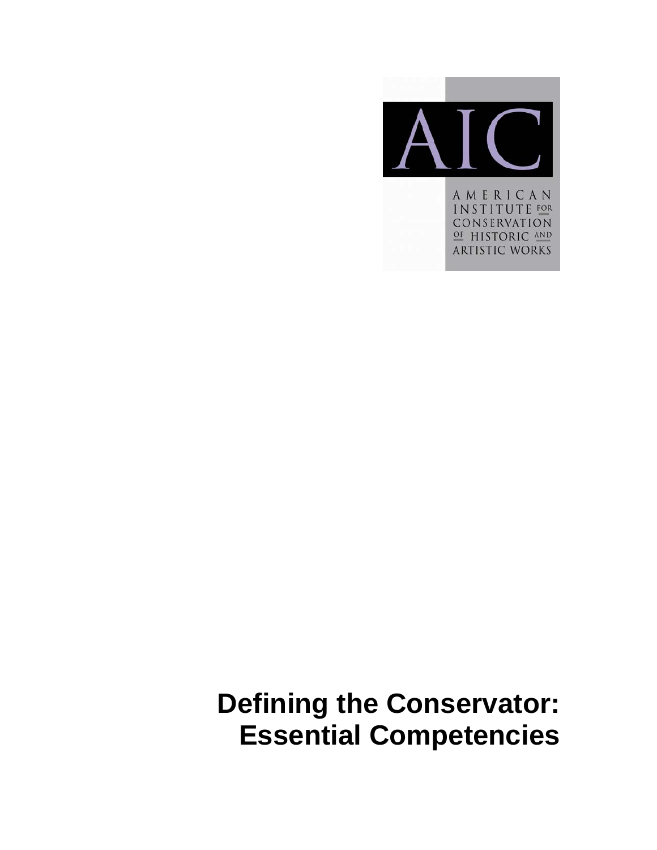

AMERICAN **INSTITUTE FOR** CONSERVATION OF HISTORIC AND **ARTISTIC WORKS** 

**Defining the Conservator: Essential Competencies**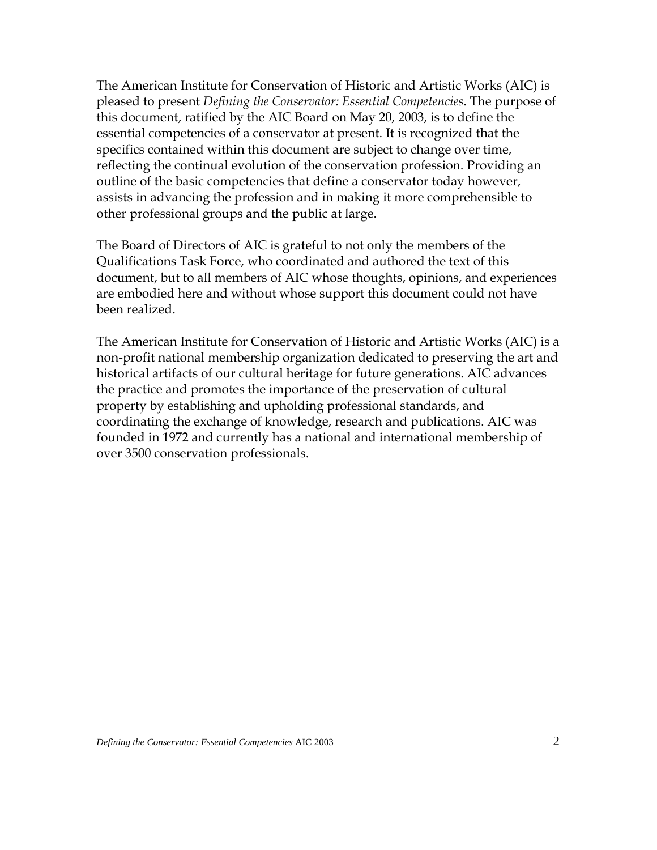The American Institute for Conservation of Historic and Artistic Works (AIC) is pleased to present *Defining the Conservator: Essential Competencies*. The purpose of this document, ratified by the AIC Board on May 20, 2003, is to define the essential competencies of a conservator at present. It is recognized that the specifics contained within this document are subject to change over time, reflecting the continual evolution of the conservation profession. Providing an outline of the basic competencies that define a conservator today however, assists in advancing the profession and in making it more comprehensible to other professional groups and the public at large.

The Board of Directors of AIC is grateful to not only the members of the Qualifications Task Force, who coordinated and authored the text of this document, but to all members of AIC whose thoughts, opinions, and experiences are embodied here and without whose support this document could not have been realized.

The American Institute for Conservation of Historic and Artistic Works (AIC) is a non-profit national membership organization dedicated to preserving the art and historical artifacts of our cultural heritage for future generations. AIC advances the practice and promotes the importance of the preservation of cultural property by establishing and upholding professional standards, and coordinating the exchange of knowledge, research and publications. AIC was founded in 1972 and currently has a national and international membership of over 3500 conservation professionals.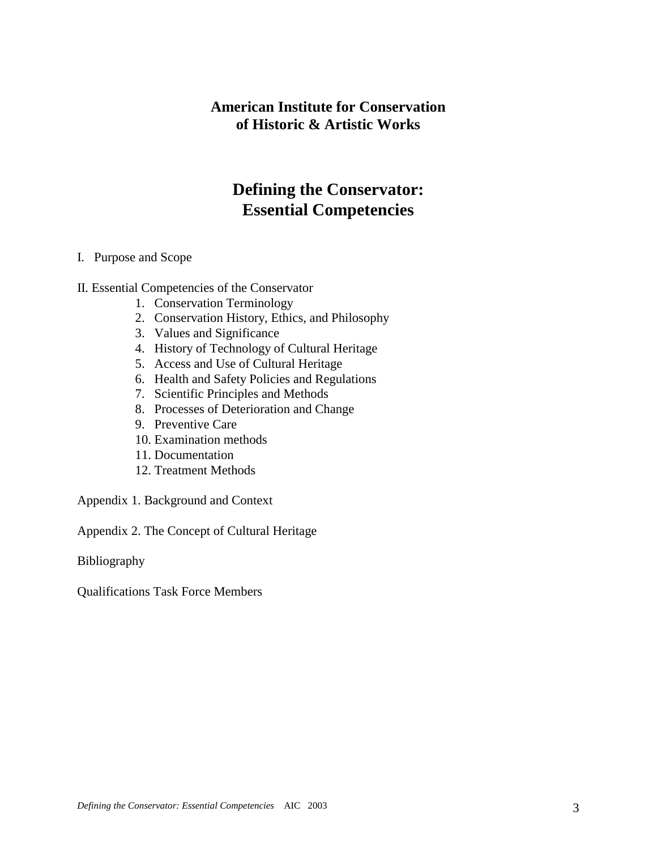## **American Institute for Conservation of Historic & Artistic Works**

## **Defining the Conservator: Essential Competencies**

#### I. Purpose and Scope

#### II. Essential Competencies of the Conservator

- 1. Conservation Terminology
- 2. Conservation History, Ethics, and Philosophy
- 3. Values and Significance
- 4. History of Technology of Cultural Heritage
- 5. Access and Use of Cultural Heritage
- 6. Health and Safety Policies and Regulations
- 7. Scientific Principles and Methods
- 8. Processes of Deterioration and Change
- 9. Preventive Care
- 10. Examination methods
- 11. Documentation
- 12. Treatment Methods

Appendix 1. Background and Context

Appendix 2. The Concept of Cultural Heritage

Bibliography

Qualifications Task Force Members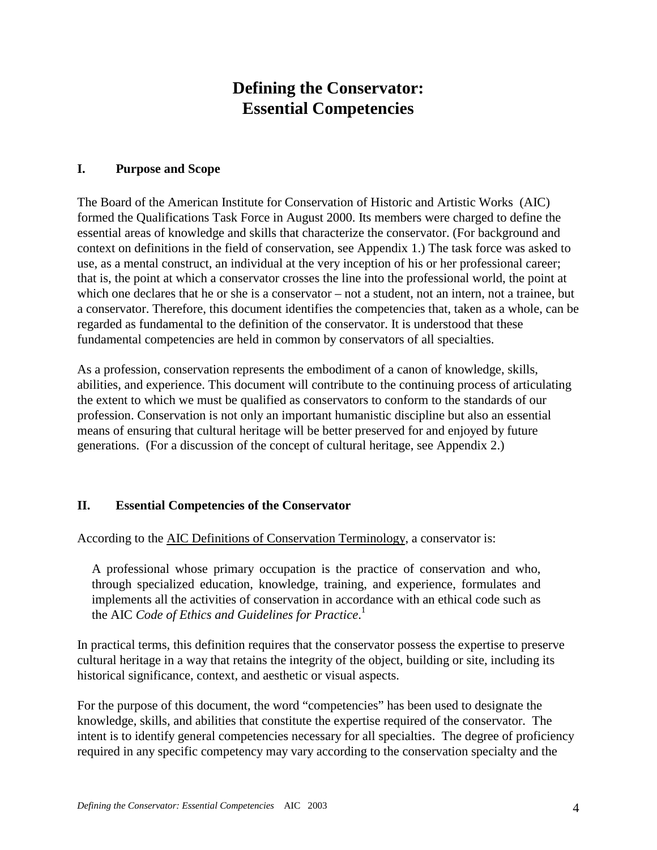# **Defining the Conservator: Essential Competencies**

#### **I. Purpose and Scope**

The Board of the American Institute for Conservation of Historic and Artistic Works (AIC) formed the Qualifications Task Force in August 2000. Its members were charged to define the essential areas of knowledge and skills that characterize the conservator. (For background and context on definitions in the field of conservation, see Appendix 1.) The task force was asked to use, as a mental construct, an individual at the very inception of his or her professional career; that is, the point at which a conservator crosses the line into the professional world, the point at which one declares that he or she is a conservator – not a student, not an intern, not a trainee, but a conservator. Therefore, this document identifies the competencies that, taken as a whole, can be regarded as fundamental to the definition of the conservator. It is understood that these fundamental competencies are held in common by conservators of all specialties.

As a profession, conservation represents the embodiment of a canon of knowledge, skills, abilities, and experience. This document will contribute to the continuing process of articulating the extent to which we must be qualified as conservators to conform to the standards of our profession. Conservation is not only an important humanistic discipline but also an essential means of ensuring that cultural heritage will be better preserved for and enjoyed by future generations. (For a discussion of the concept of cultural heritage, see Appendix 2.)

## **II. Essential Competencies of the Conservator**

According to the AIC Definitions of Conservation Terminology, a conservator is:

A professional whose primary occupation is the practice of conservation and who, through specialized education, knowledge, training, and experience, formulates and implements all the activities of conservation in accordance with an ethical code such as the AIC *Code of Ethics and Guidelines for Practice*. 1

In practical terms, this definition requires that the conservator possess the expertise to preserve cultural heritage in a way that retains the integrity of the object, building or site, including its historical significance, context, and aesthetic or visual aspects.

For the purpose of this document, the word "competencies" has been used to designate the knowledge, skills, and abilities that constitute the expertise required of the conservator. The intent is to identify general competencies necessary for all specialties. The degree of proficiency required in any specific competency may vary according to the conservation specialty and the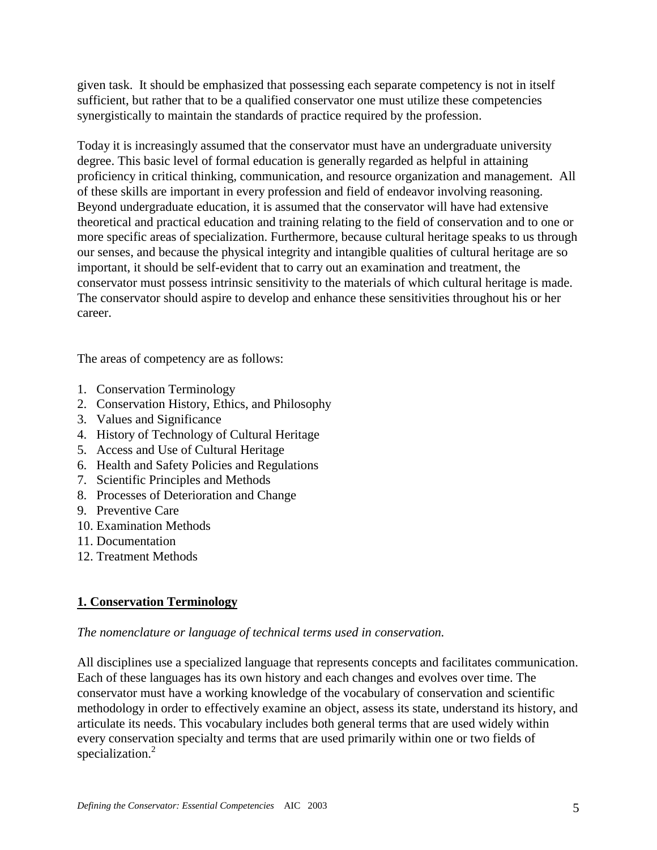given task. It should be emphasized that possessing each separate competency is not in itself sufficient, but rather that to be a qualified conservator one must utilize these competencies synergistically to maintain the standards of practice required by the profession.

Today it is increasingly assumed that the conservator must have an undergraduate university degree. This basic level of formal education is generally regarded as helpful in attaining proficiency in critical thinking, communication, and resource organization and management. All of these skills are important in every profession and field of endeavor involving reasoning. Beyond undergraduate education, it is assumed that the conservator will have had extensive theoretical and practical education and training relating to the field of conservation and to one or more specific areas of specialization. Furthermore, because cultural heritage speaks to us through our senses, and because the physical integrity and intangible qualities of cultural heritage are so important, it should be self-evident that to carry out an examination and treatment, the conservator must possess intrinsic sensitivity to the materials of which cultural heritage is made. The conservator should aspire to develop and enhance these sensitivities throughout his or her career.

The areas of competency are as follows:

- 1. Conservation Terminology
- 2. Conservation History, Ethics, and Philosophy
- 3. Values and Significance
- 4. History of Technology of Cultural Heritage
- 5. Access and Use of Cultural Heritage
- 6. Health and Safety Policies and Regulations
- 7. Scientific Principles and Methods
- 8. Processes of Deterioration and Change
- 9. Preventive Care
- 10. Examination Methods
- 11. Documentation
- 12. Treatment Methods

## **1. Conservation Terminology**

#### *The nomenclature or language of technical terms used in conservation.*

All disciplines use a specialized language that represents concepts and facilitates communication. Each of these languages has its own history and each changes and evolves over time. The conservator must have a working knowledge of the vocabulary of conservation and scientific methodology in order to effectively examine an object, assess its state, understand its history, and articulate its needs. This vocabulary includes both general terms that are used widely within every conservation specialty and terms that are used primarily within one or two fields of specialization.<sup>2</sup>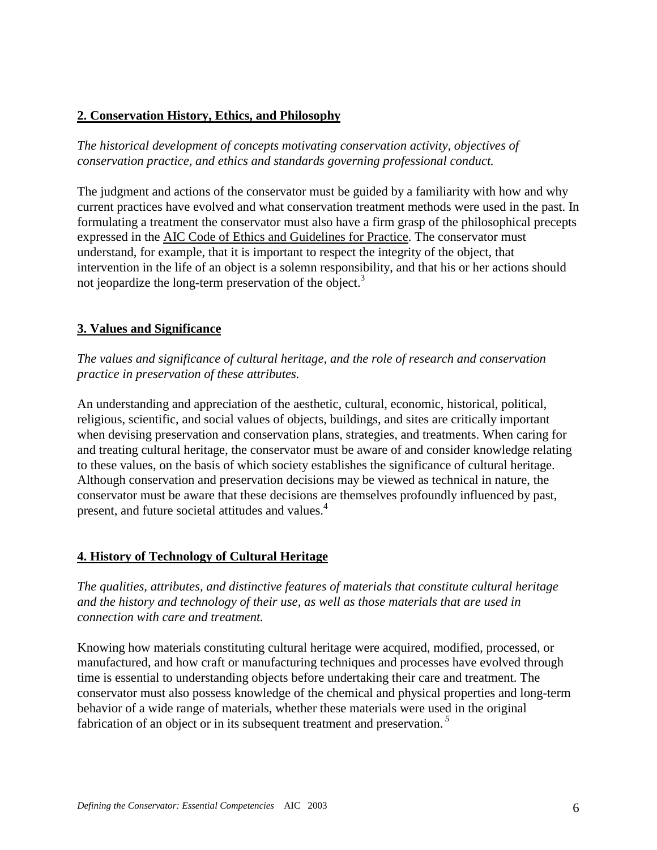## **2. Conservation History, Ethics, and Philosophy**

*The historical development of concepts motivating conservation activity, objectives of conservation practice, and ethics and standards governing professional conduct.*

The judgment and actions of the conservator must be guided by a familiarity with how and why current practices have evolved and what conservation treatment methods were used in the past. In formulating a treatment the conservator must also have a firm grasp of the philosophical precepts expressed in the AIC Code of Ethics and Guidelines for Practice. The conservator must understand, for example, that it is important to respect the integrity of the object, that intervention in the life of an object is a solemn responsibility, and that his or her actions should not jeopardize the long-term preservation of the object.<sup>3</sup>

## **3. Values and Significance**

*The values and significance of cultural heritage, and the role of research and conservation practice in preservation of these attributes.*

An understanding and appreciation of the aesthetic, cultural, economic, historical, political, religious, scientific, and social values of objects, buildings, and sites are critically important when devising preservation and conservation plans, strategies, and treatments. When caring for and treating cultural heritage, the conservator must be aware of and consider knowledge relating to these values, on the basis of which society establishes the significance of cultural heritage. Although conservation and preservation decisions may be viewed as technical in nature, the conservator must be aware that these decisions are themselves profoundly influenced by past, present, and future societal attitudes and values.<sup>4</sup>

## **4. History of Technology of Cultural Heritage**

*The qualities, attributes, and distinctive features of materials that constitute cultural heritage and the history and technology of their use, as well as those materials that are used in connection with care and treatment.*

Knowing how materials constituting cultural heritage were acquired, modified, processed, or manufactured, and how craft or manufacturing techniques and processes have evolved through time is essential to understanding objects before undertaking their care and treatment. The conservator must also possess knowledge of the chemical and physical properties and long-term behavior of a wide range of materials, whether these materials were used in the original fabrication of an object or in its subsequent treatment and preservation.*<sup>5</sup>*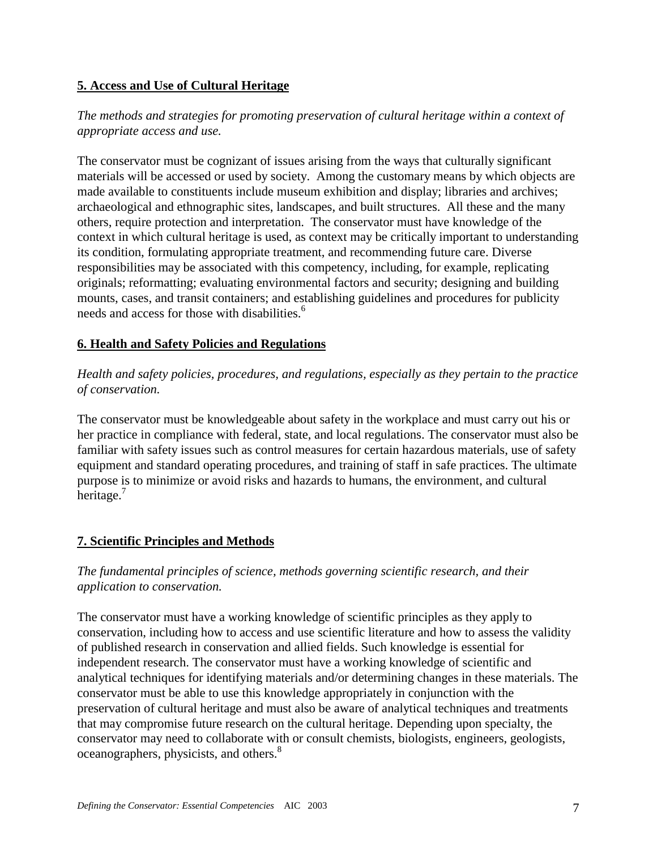## **5. Access and Use of Cultural Heritage**

## *The methods and strategies for promoting preservation of cultural heritage within a context of appropriate access and use.*

The conservator must be cognizant of issues arising from the ways that culturally significant materials will be accessed or used by society. Among the customary means by which objects are made available to constituents include museum exhibition and display; libraries and archives; archaeological and ethnographic sites, landscapes, and built structures. All these and the many others, require protection and interpretation. The conservator must have knowledge of the context in which cultural heritage is used, as context may be critically important to understanding its condition, formulating appropriate treatment, and recommending future care. Diverse responsibilities may be associated with this competency, including, for example, replicating originals; reformatting; evaluating environmental factors and security; designing and building mounts, cases, and transit containers; and establishing guidelines and procedures for publicity needs and access for those with disabilities.<sup>6</sup>

## **6. Health and Safety Policies and Regulations**

## *Health and safety policies, procedures, and regulations, especially as they pertain to the practice of conservation.*

The conservator must be knowledgeable about safety in the workplace and must carry out his or her practice in compliance with federal, state, and local regulations. The conservator must also be familiar with safety issues such as control measures for certain hazardous materials, use of safety equipment and standard operating procedures, and training of staff in safe practices. The ultimate purpose is to minimize or avoid risks and hazards to humans, the environment, and cultural heritage. $<sup>7</sup>$ </sup>

## **7. Scientific Principles and Methods**

## *The fundamental principles of science, methods governing scientific research, and their application to conservation.*

The conservator must have a working knowledge of scientific principles as they apply to conservation, including how to access and use scientific literature and how to assess the validity of published research in conservation and allied fields. Such knowledge is essential for independent research. The conservator must have a working knowledge of scientific and analytical techniques for identifying materials and/or determining changes in these materials. The conservator must be able to use this knowledge appropriately in conjunction with the preservation of cultural heritage and must also be aware of analytical techniques and treatments that may compromise future research on the cultural heritage. Depending upon specialty, the conservator may need to collaborate with or consult chemists, biologists, engineers, geologists, oceanographers, physicists, and others.<sup>8</sup>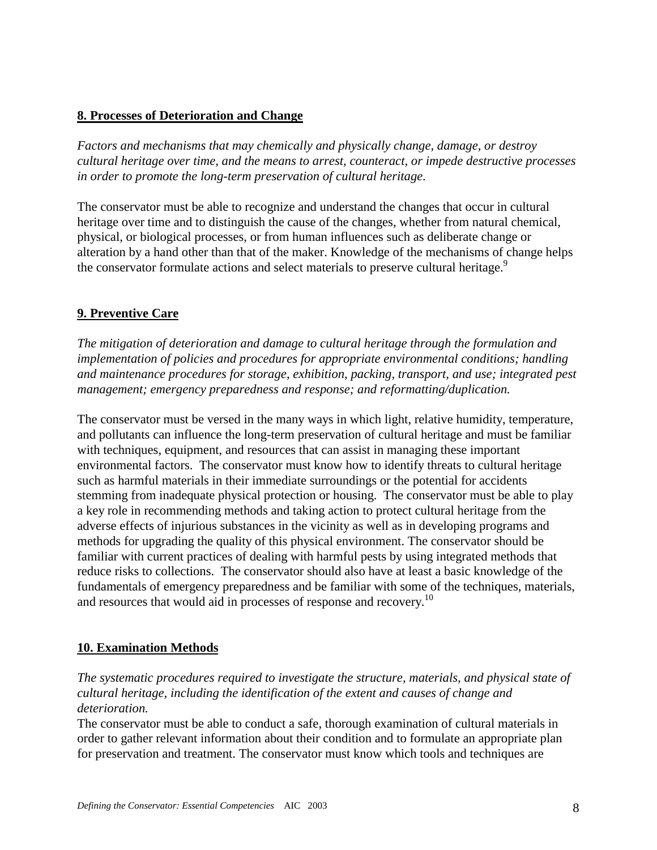#### **8. Processes of Deterioration and Change**

*Factors and mechanisms that may chemically and physically change, damage, or destroy cultural heritage over time, and the means to arrest, counteract, or impede destructive processes in order to promote the long-term preservation of cultural heritage.*

The conservator must be able to recognize and understand the changes that occur in cultural heritage over time and to distinguish the cause of the changes, whether from natural chemical, physical, or biological processes, or from human influences such as deliberate change or alteration by a hand other than that of the maker. Knowledge of the mechanisms of change helps the conservator formulate actions and select materials to preserve cultural heritage.<sup>9</sup>

## **9. Preventive Care**

*The mitigation of deterioration and damage to cultural heritage through the formulation and implementation of policies and procedures for appropriate environmental conditions; handling and maintenance procedures for storage, exhibition, packing, transport, and use; integrated pest management; emergency preparedness and response; and reformatting/duplication.*

The conservator must be versed in the many ways in which light, relative humidity, temperature, and pollutants can influence the long-term preservation of cultural heritage and must be familiar with techniques, equipment, and resources that can assist in managing these important environmental factors. The conservator must know how to identify threats to cultural heritage such as harmful materials in their immediate surroundings or the potential for accidents stemming from inadequate physical protection or housing. The conservator must be able to play a key role in recommending methods and taking action to protect cultural heritage from the adverse effects of injurious substances in the vicinity as well as in developing programs and methods for upgrading the quality of this physical environment. The conservator should be familiar with current practices of dealing with harmful pests by using integrated methods that reduce risks to collections. The conservator should also have at least a basic knowledge of the fundamentals of emergency preparedness and be familiar with some of the techniques, materials, and resources that would aid in processes of response and recovery.<sup>10</sup>

#### **10. Examination Methods**

*The systematic procedures required to investigate the structure, materials, and physical state of cultural heritage, including the identification of the extent and causes of change and deterioration.*

The conservator must be able to conduct a safe, thorough examination of cultural materials in order to gather relevant information about their condition and to formulate an appropriate plan for preservation and treatment. The conservator must know which tools and techniques are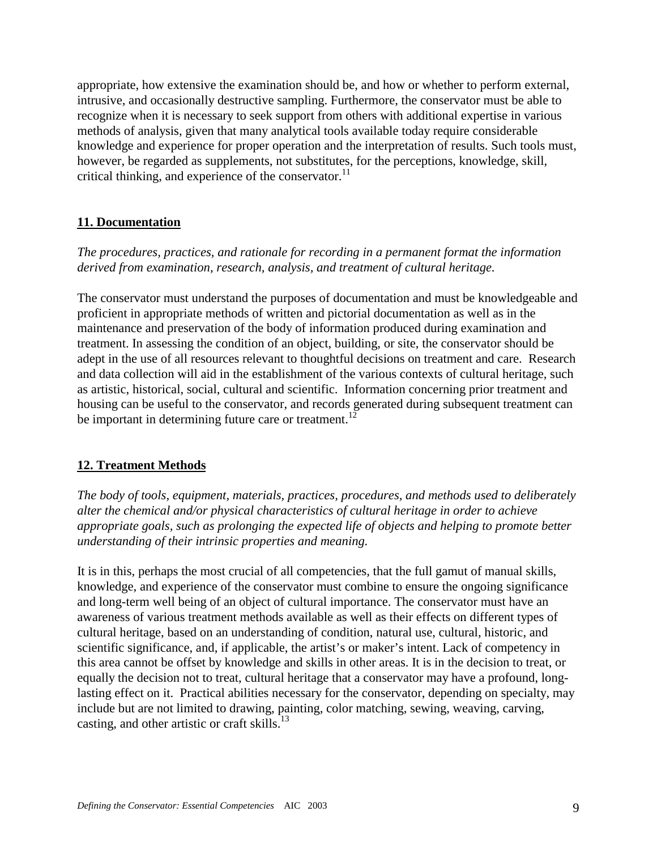appropriate, how extensive the examination should be, and how or whether to perform external, intrusive, and occasionally destructive sampling. Furthermore, the conservator must be able to recognize when it is necessary to seek support from others with additional expertise in various methods of analysis, given that many analytical tools available today require considerable knowledge and experience for proper operation and the interpretation of results. Such tools must, however, be regarded as supplements, not substitutes, for the perceptions, knowledge, skill, critical thinking, and experience of the conservator.<sup>11</sup>

#### **11. Documentation**

*The procedures, practices, and rationale for recording in a permanent format the information derived from examination, research, analysis, and treatment of cultural heritage.*

The conservator must understand the purposes of documentation and must be knowledgeable and proficient in appropriate methods of written and pictorial documentation as well as in the maintenance and preservation of the body of information produced during examination and treatment. In assessing the condition of an object, building, or site, the conservator should be adept in the use of all resources relevant to thoughtful decisions on treatment and care. Research and data collection will aid in the establishment of the various contexts of cultural heritage, such as artistic, historical, social, cultural and scientific. Information concerning prior treatment and housing can be useful to the conservator, and records generated during subsequent treatment can be important in determining future care or treatment.<sup>1</sup>

#### **12. Treatment Methods**

*The body of tools, equipment, materials, practices, procedures, and methods used to deliberately alter the chemical and/or physical characteristics of cultural heritage in order to achieve appropriate goals, such as prolonging the expected life of objects and helping to promote better understanding of their intrinsic properties and meaning.*

It is in this, perhaps the most crucial of all competencies, that the full gamut of manual skills, knowledge, and experience of the conservator must combine to ensure the ongoing significance and long-term well being of an object of cultural importance. The conservator must have an awareness of various treatment methods available as well as their effects on different types of cultural heritage, based on an understanding of condition, natural use, cultural, historic, and scientific significance, and, if applicable, the artist's or maker's intent. Lack of competency in this area cannot be offset by knowledge and skills in other areas. It is in the decision to treat, or equally the decision not to treat, cultural heritage that a conservator may have a profound, longlasting effect on it. Practical abilities necessary for the conservator, depending on specialty, may include but are not limited to drawing, painting, color matching, sewing, weaving, carving, casting, and other artistic or craft skills. $^{13}$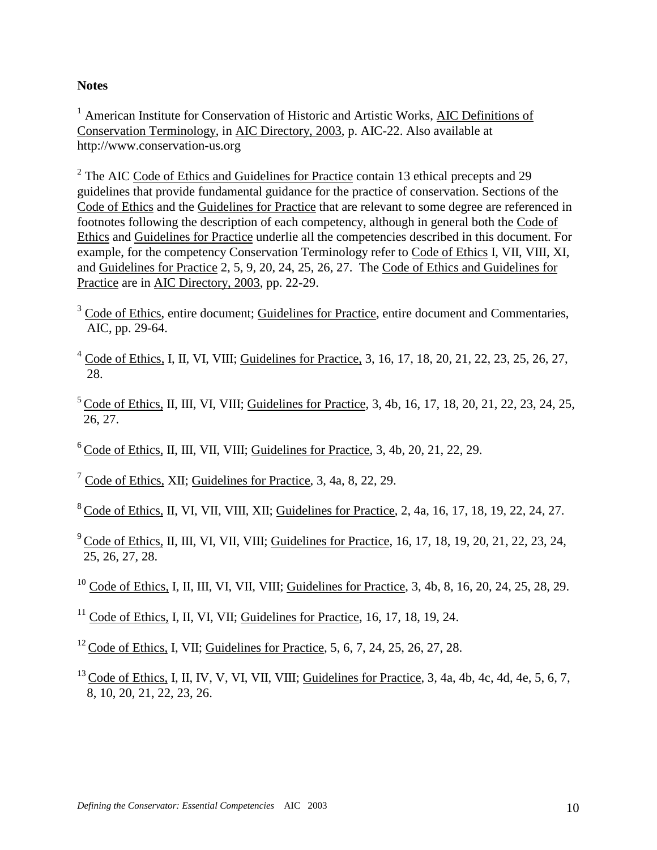#### **Notes**

<sup>1</sup> American Institute for Conservation of Historic and Artistic Works, AIC Definitions of Conservation Terminology, in AIC Directory, 2003, p. AIC-22. Also available at http://www.conservation-us.org

<sup>2</sup> The AIC Code of Ethics and Guidelines for Practice contain 13 ethical precepts and 29 guidelines that provide fundamental guidance for the practice of conservation. Sections of the Code of Ethics and the Guidelines for Practice that are relevant to some degree are referenced in footnotes following the description of each competency, although in general both the Code of Ethics and Guidelines for Practice underlie all the competencies described in this document. For example, for the competency Conservation Terminology refer to Code of Ethics I, VII, VIII, XI, and Guidelines for Practice 2, 5, 9, 20, 24, 25, 26, 27. The Code of Ethics and Guidelines for Practice are in AIC Directory, 2003, pp. 22-29.

- <sup>3</sup> Code of Ethics, entire document; Guidelines for Practice, entire document and Commentaries, AIC, pp. 29-64.
- $4 \text{ Code of Ethics}, I, II, VI, VIII; Guidelines for Practice, 3, 16, 17, 18, 20, 21, 22, 23, 25, 26, 27,$ 28.
- $5^{\circ}$  Code of Ethics, II, III, VI, VIII; Guidelines for Practice, 3, 4b, 16, 17, 18, 20, 21, 22, 23, 24, 25, 26, 27.
- $6^{\circ}$  Code of Ethics, II, III, VII, VIII; Guidelines for Practice, 3, 4b, 20, 21, 22, 29.
- <sup>7</sup> Code of Ethics, XII; Guidelines for Practice, 3, 4a, 8, 22, 29.
- 8 Code of Ethics, II, VI, VII, VIII, XII; Guidelines for Practice, 2, 4a, 16, 17, 18, 19, 22, 24, 27.
- $9^{\circ}$  Code of Ethics, II, III, VI, VII, VIII; Guidelines for Practice, 16, 17, 18, 19, 20, 21, 22, 23, 24, 25, 26, 27, 28.
- <sup>10</sup> Code of Ethics, I, II, III, VI, VII, VIII; Guidelines for Practice, 3, 4b, 8, 16, 20, 24, 25, 28, 29.
- $11$  Code of Ethics, I, II, VI, VII; Guidelines for Practice, 16, 17, 18, 19, 24.
- <sup>12</sup> Code o<u>f Ethics</u>, I, VII; Guidelines for Practice, 5, 6, 7, 24, 25, 26, 27, 28.
- $13 \text{Code of Ethics, I, II, IV, V, VI, VII, VIII; Guidelines for Practice, 3, 4a, 4b, 4c, 4d, 4e, 5, 6, 7,$ 8, 10, 20, 21, 22, 23, 26.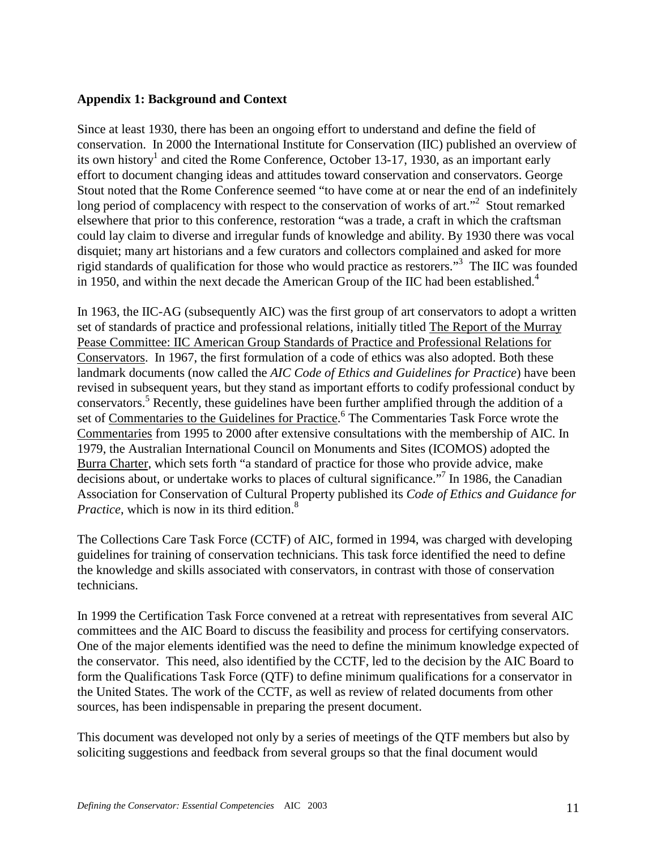#### **Appendix 1: Background and Context**

Since at least 1930, there has been an ongoing effort to understand and define the field of conservation. In 2000 the International Institute for Conservation (IIC) published an overview of its own history<sup>1</sup> and cited the Rome Conference, October 13-17, 1930, as an important early effort to document changing ideas and attitudes toward conservation and conservators. George Stout noted that the Rome Conference seemed "to have come at or near the end of an indefinitely long period of complacency with respect to the conservation of works of art."<sup>2</sup> Stout remarked elsewhere that prior to this conference, restoration "was a trade, a craft in which the craftsman could lay claim to diverse and irregular funds of knowledge and ability. By 1930 there was vocal disquiet; many art historians and a few curators and collectors complained and asked for more rigid standards of qualification for those who would practice as restorers."3 The IIC was founded in 1950, and within the next decade the American Group of the IIC had been established.<sup>4</sup>

In 1963, the IIC-AG (subsequently AIC) was the first group of art conservators to adopt a written set of standards of practice and professional relations, initially titled The Report of the Murray Pease Committee: IIC American Group Standards of Practice and Professional Relations for Conservators. In 1967, the first formulation of a code of ethics was also adopted. Both these landmark documents (now called the *AIC Code of Ethics and Guidelines for Practice*) have been revised in subsequent years, but they stand as important efforts to codify professional conduct by conservators.<sup>5</sup> Recently, these guidelines have been further amplified through the addition of a set of Commentaries to the Guidelines for Practice.<sup>6</sup> The Commentaries Task Force wrote the Commentaries from 1995 to 2000 after extensive consultations with the membership of AIC. In 1979, the Australian International Council on Monuments and Sites (ICOMOS) adopted the Burra Charter, which sets forth "a standard of practice for those who provide advice, make decisions about, or undertake works to places of cultural significance.<sup>"7</sup> In 1986, the Canadian Association for Conservation of Cultural Property published its *Code of Ethics and Guidance for Practice*, which is now in its third edition.<sup>8</sup>

The Collections Care Task Force (CCTF) of AIC, formed in 1994, was charged with developing guidelines for training of conservation technicians. This task force identified the need to define the knowledge and skills associated with conservators, in contrast with those of conservation technicians.

In 1999 the Certification Task Force convened at a retreat with representatives from several AIC committees and the AIC Board to discuss the feasibility and process for certifying conservators. One of the major elements identified was the need to define the minimum knowledge expected of the conservator. This need, also identified by the CCTF, led to the decision by the AIC Board to form the Qualifications Task Force (QTF) to define minimum qualifications for a conservator in the United States. The work of the CCTF, as well as review of related documents from other sources, has been indispensable in preparing the present document.

This document was developed not only by a series of meetings of the QTF members but also by soliciting suggestions and feedback from several groups so that the final document would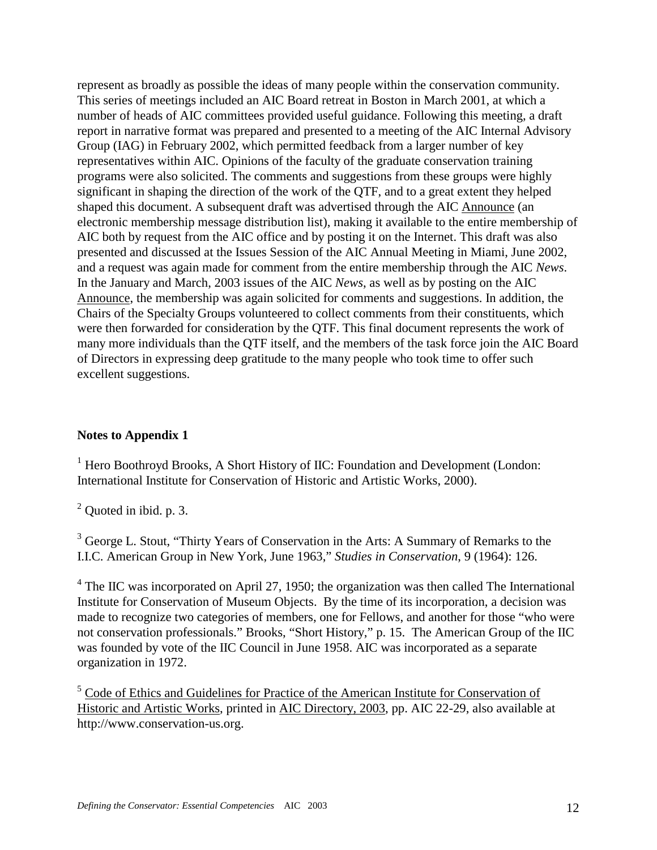represent as broadly as possible the ideas of many people within the conservation community. This series of meetings included an AIC Board retreat in Boston in March 2001, at which a number of heads of AIC committees provided useful guidance. Following this meeting, a draft report in narrative format was prepared and presented to a meeting of the AIC Internal Advisory Group (IAG) in February 2002, which permitted feedback from a larger number of key representatives within AIC. Opinions of the faculty of the graduate conservation training programs were also solicited. The comments and suggestions from these groups were highly significant in shaping the direction of the work of the QTF, and to a great extent they helped shaped this document. A subsequent draft was advertised through the AIC Announce (an electronic membership message distribution list), making it available to the entire membership of AIC both by request from the AIC office and by posting it on the Internet. This draft was also presented and discussed at the Issues Session of the AIC Annual Meeting in Miami, June 2002, and a request was again made for comment from the entire membership through the AIC *News*. In the January and March, 2003 issues of the AIC *News*, as well as by posting on the AIC Announce, the membership was again solicited for comments and suggestions. In addition, the Chairs of the Specialty Groups volunteered to collect comments from their constituents, which were then forwarded for consideration by the QTF. This final document represents the work of many more individuals than the QTF itself, and the members of the task force join the AIC Board of Directors in expressing deep gratitude to the many people who took time to offer such excellent suggestions.

## **Notes to Appendix 1**

<sup>1</sup> Hero Boothroyd Brooks, A Short History of IIC: Foundation and Development (London: International Institute for Conservation of Historic and Artistic Works, 2000).

 $2$  Quoted in ibid. p. 3.

<sup>3</sup> George L. Stout, "Thirty Years of Conservation in the Arts: A Summary of Remarks to the I.I.C. American Group in New York, June 1963," *Studies in Conservation*, 9 (1964): 126.

 $4$  The IIC was incorporated on April 27, 1950; the organization was then called The International Institute for Conservation of Museum Objects. By the time of its incorporation, a decision was made to recognize two categories of members, one for Fellows, and another for those "who were not conservation professionals." Brooks, "Short History," p. 15. The American Group of the IIC was founded by vote of the IIC Council in June 1958. AIC was incorporated as a separate organization in 1972.

<sup>5</sup> Code of Ethics and Guidelines for Practice of the American Institute for Conservation of Historic and Artistic Works, printed in AIC Directory, 2003, pp. AIC 22-29, also available at http://www.conservation-us.org.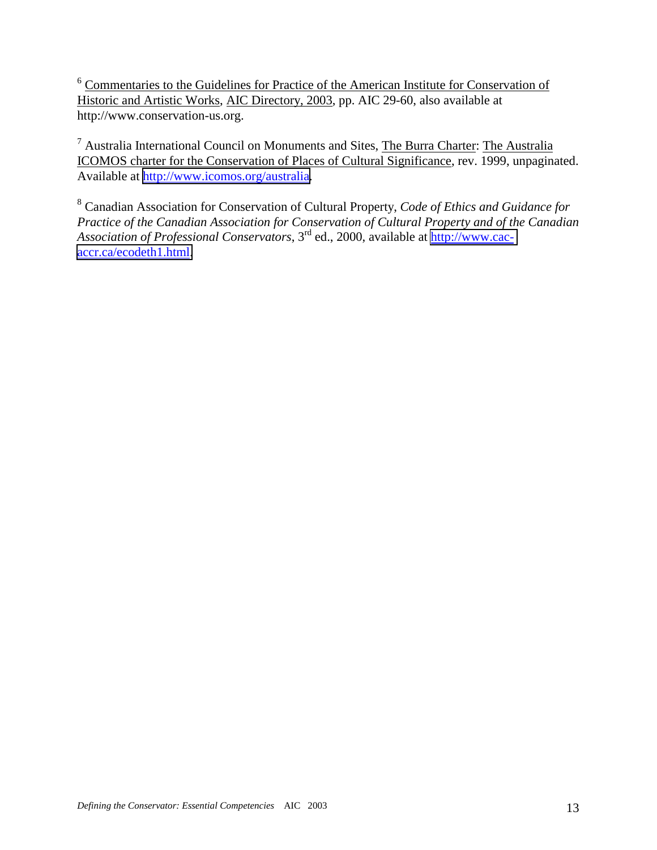<sup>6</sup> Commentaries to the Guidelines for Practice of the American Institute for Conservation of Historic and Artistic Works, AIC Directory, 2003, pp. AIC 29-60, also available at http://www.conservation-us.org.

<sup>7</sup> Australia International Council on Monuments and Sites, The Burra Charter: The Australia ICOMOS charter for the Conservation of Places of Cultural Significance, rev. 1999, unpaginated. Available at [http://www.icomos.org/australia.](http://www.icomos.org/australia)

8 Canadian Association for Conservation of Cultural Property, *Code of Ethics and Guidance for Practice of the Canadian Association for Conservation of Cultural Property and of the Canadian Association of Professional Conservators*, 3rd ed., 2000, available at [http://www.cac](http://www.cac-accr.ca/ecodeth1.html)[accr.ca/ecodeth1.html.](http://www.cac-accr.ca/ecodeth1.html)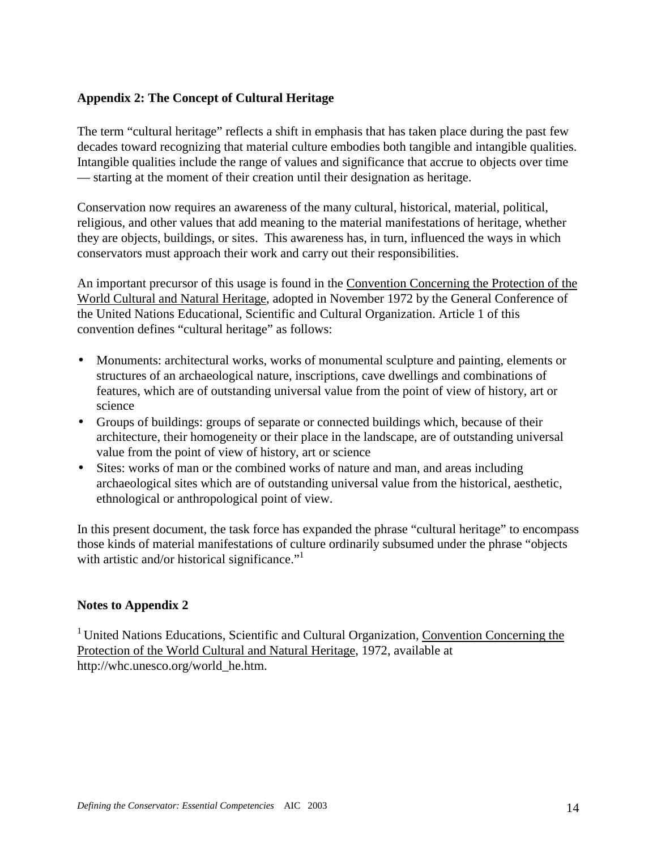#### **Appendix 2: The Concept of Cultural Heritage**

The term "cultural heritage" reflects a shift in emphasis that has taken place during the past few decades toward recognizing that material culture embodies both tangible and intangible qualities. Intangible qualities include the range of values and significance that accrue to objects over time — starting at the moment of their creation until their designation as heritage.

Conservation now requires an awareness of the many cultural, historical, material, political, religious, and other values that add meaning to the material manifestations of heritage, whether they are objects, buildings, or sites. This awareness has, in turn, influenced the ways in which conservators must approach their work and carry out their responsibilities.

An important precursor of this usage is found in the Convention Concerning the Protection of the World Cultural and Natural Heritage, adopted in November 1972 by the General Conference of the United Nations Educational, Scientific and Cultural Organization. Article 1 of this convention defines "cultural heritage" as follows:

- Monuments: architectural works, works of monumental sculpture and painting, elements or structures of an archaeological nature, inscriptions, cave dwellings and combinations of features, which are of outstanding universal value from the point of view of history, art or science
- Groups of buildings: groups of separate or connected buildings which, because of their architecture, their homogeneity or their place in the landscape, are of outstanding universal value from the point of view of history, art or science
- Sites: works of man or the combined works of nature and man, and areas including archaeological sites which are of outstanding universal value from the historical, aesthetic, ethnological or anthropological point of view.

In this present document, the task force has expanded the phrase "cultural heritage" to encompass those kinds of material manifestations of culture ordinarily subsumed under the phrase "objects with artistic and/or historical significance. $"$ <sup>1</sup>

#### **Notes to Appendix 2**

<sup>1</sup> United Nations Educations, Scientific and Cultural Organization, Convention Concerning the Protection of the World Cultural and Natural Heritage, 1972, available at http://whc.unesco.org/world\_he.htm.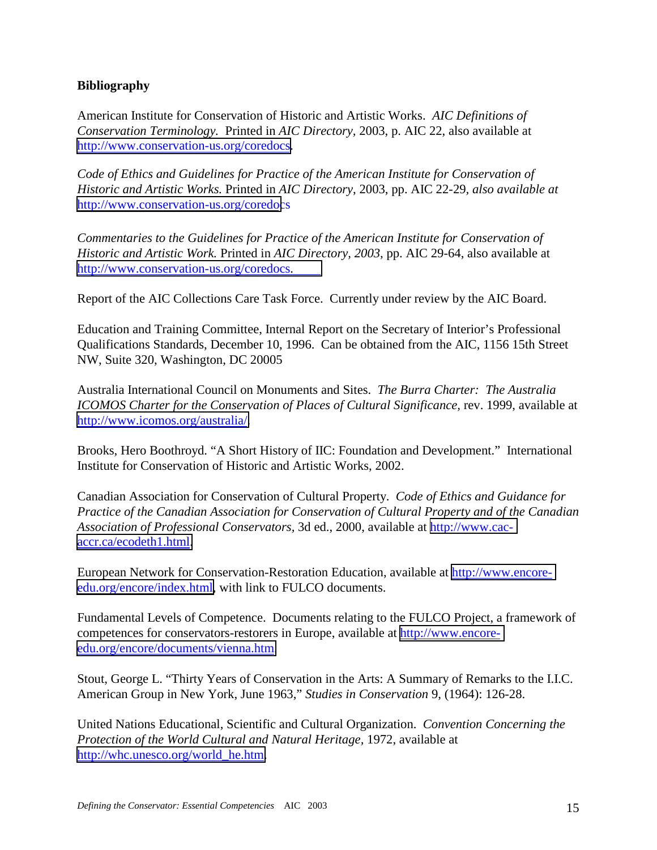#### **Bibliography**

American Institute for Conservation of Historic and Artistic Works. *AIC Definitions of Conservation Terminology.* Printed in *AIC Directory,* 2003, p. AIC 22, also available at http://[www.conservation-us.org/coredocs](http://aic.stanford.edu/geninfo/defin.html).

*Code of Ethics and Guidelines for Practice of the American Institute for Conservation of Historic and Artistic Works.* Printed in *AIC Directory*, 2003, pp. AIC 22-29*, also available at* http://[www.conservation-us.org/coredoc](http://aic.stanford.edu/pubs/ethics.html)s

*Commentaries to the Guidelines for Practice of the American Institute for Conservation of Historic and Artistic Work.* Printed in *AIC Directory, 2003,* pp. AIC 29-64, also available at http://[www.conservation-us.org/coredocs](http://aic.stanford.edu/pubs/commentaries.html).

Report of the AIC Collections Care Task Force. Currently under review by the AIC Board.

Education and Training Committee, Internal Report on the Secretary of Interior's Professional Qualifications Standards, December 10, 1996. Can be obtained from the AIC, 1156 15th Street NW, Suite 320, Washington, DC 20005

Australia International Council on Monuments and Sites. *The Burra Charter: The Australia ICOMOS Charter for the Conservation of Places of Cultural Significance, rev. 1999, available at* [http://www.icomos.org/australia/.](http://www.icomos.org/australia/)

Brooks, Hero Boothroyd. "A Short History of IIC: Foundation and Development." International Institute for Conservation of Historic and Artistic Works, 2002.

Canadian Association for Conservation of Cultural Property. *Code of Ethics and Guidance for Practice of the Canadian Association for Conservation of Cultural Property and of the Canadian Association of Professional Conservators,* 3d ed., 2000, available at [http://www.cac](http://www.cac-accr.ca/ecodeth1.html)[accr.ca/ecodeth1.html.](http://www.cac-accr.ca/ecodeth1.html)

European Network for Conservation-Restoration Education, available at [http://www.encore](http://www.encore-edu.org/encore/index.html)[edu.org/encore/index.html,](http://www.encore-edu.org/encore/index.html) with link to FULCO documents.

Fundamental Levels of Competence. Documents relating to the FULCO Project, a framework of competences for conservators-restorers in Europe, available at [http://www.encore](http://www.encore-edu.org/encore/documents/vienna.htm)[edu.org/encore/documents/vienna.htm.](http://www.encore-edu.org/encore/documents/vienna.htm)

Stout, George L. "Thirty Years of Conservation in the Arts: A Summary of Remarks to the I.I.C. American Group in New York, June 1963," *Studies in Conservation* 9, (1964): 126-28.

United Nations Educational, Scientific and Cultural Organization. *Convention Concerning the Protection of the World Cultural and Natural Heritage,* 1972, available at [http://whc.unesco.org/world\\_he.htm.](http://whc.unesco.org/world_he.htm)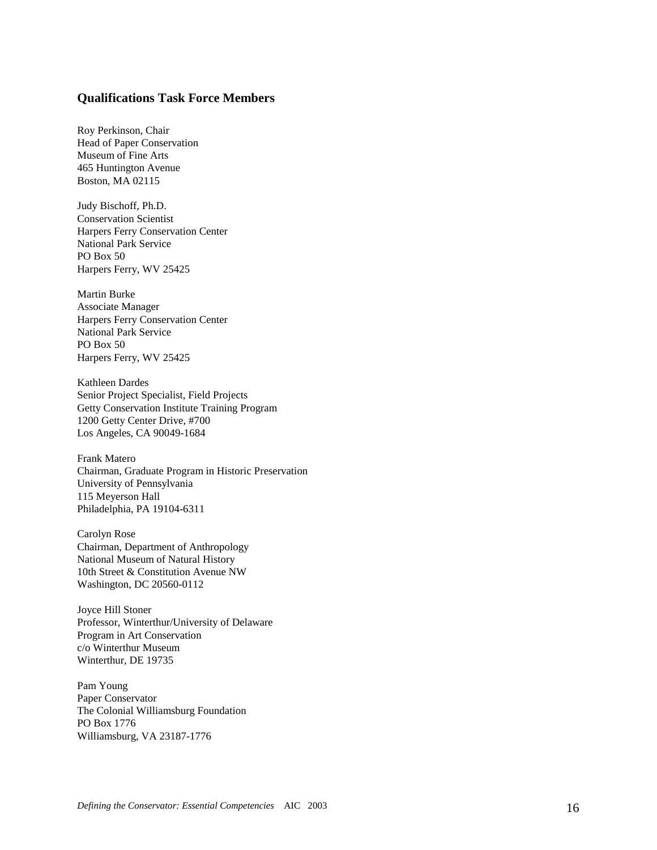#### **Qualifications Task Force Members**

Roy Perkinson, Chair Head of Paper Conservation Museum of Fine Arts 465 Huntington Avenue Boston, MA 02115

Judy Bischoff, Ph.D. Conservation Scientist Harpers Ferry Conservation Center National Park Service PO Box 50 Harpers Ferry, WV 25425

Martin Burke Associate Manager Harpers Ferry Conservation Center National Park Service PO Box 50 Harpers Ferry, WV 25425

Kathleen Dardes Senior Project Specialist, Field Projects Getty Conservation Institute Training Program 1200 Getty Center Drive, #700 Los Angeles, CA 90049-1684

Frank Matero Chairman, Graduate Program in Historic Preservation University of Pennsylvania 115 Meyerson Hall Philadelphia, PA 19104-6311

Carolyn Rose Chairman, Department of Anthropology National Museum of Natural History 10th Street & Constitution Avenue NW Washington, DC 20560-0112

Joyce Hill Stoner Professor, Winterthur/University of Delaware Program in Art Conservation c/o Winterthur Museum Winterthur, DE 19735

Pam Young Paper Conservator The Colonial Williamsburg Foundation PO Box 1776 Williamsburg, VA 23187-1776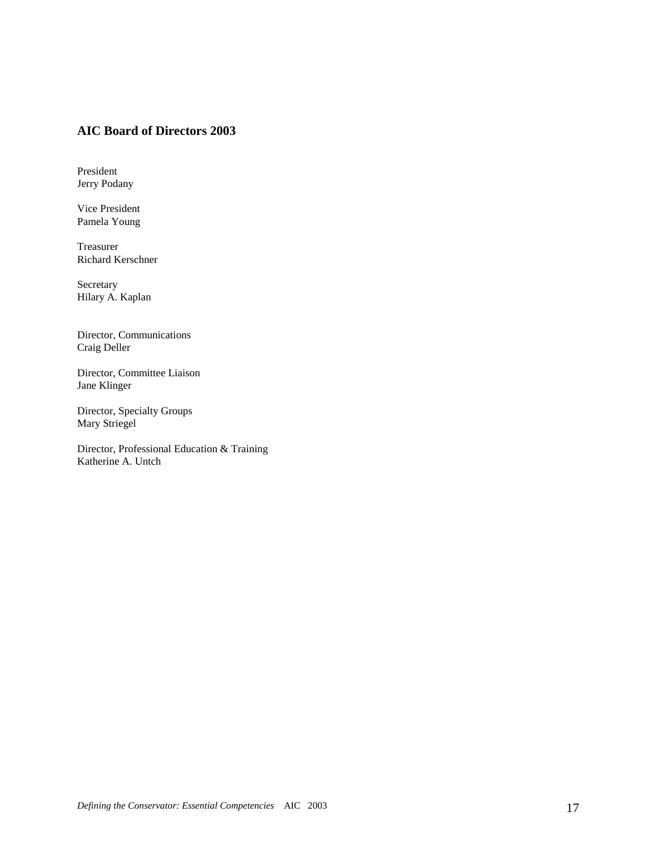#### **AIC Board of Directors 2003**

President Jerry Podany

Vice President Pamela Young

Treasurer Richard Kerschner

Secretary Hilary A. Kaplan

Director, Communications Craig Deller

Director, Committee Liaison Jane Klinger

Director, Specialty Groups Mary Striegel

Director, Professional Education & Training Katherine A. Untch